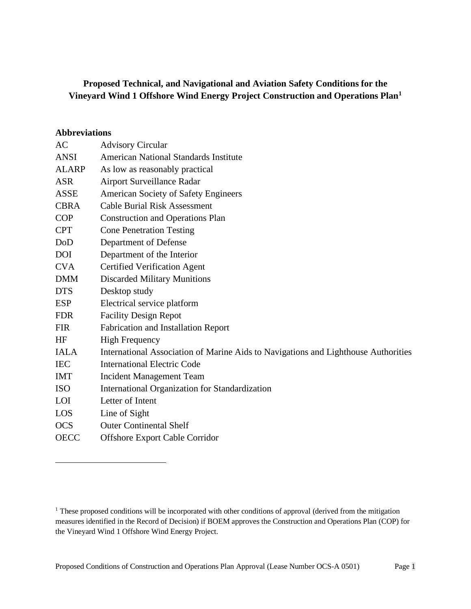# **Proposed Technical, and Navigational and Aviation Safety Conditions for the Vineyard Wind 1 Offshore Wind Energy Project Construction and Operations Plan[1](#page-0-0)**

#### **Abbreviations**

| AC          | <b>Advisory Circular</b>                                                           |
|-------------|------------------------------------------------------------------------------------|
| <b>ANSI</b> | <b>American National Standards Institute</b>                                       |
| ALARP       | As low as reasonably practical                                                     |
| <b>ASR</b>  | Airport Surveillance Radar                                                         |
| <b>ASSE</b> | <b>American Society of Safety Engineers</b>                                        |
| <b>CBRA</b> | <b>Cable Burial Risk Assessment</b>                                                |
| <b>COP</b>  | <b>Construction and Operations Plan</b>                                            |
| <b>CPT</b>  | <b>Cone Penetration Testing</b>                                                    |
| DoD         | Department of Defense                                                              |
| <b>DOI</b>  | Department of the Interior                                                         |
| <b>CVA</b>  | <b>Certified Verification Agent</b>                                                |
| <b>DMM</b>  | <b>Discarded Military Munitions</b>                                                |
| <b>DTS</b>  | Desktop study                                                                      |
| <b>ESP</b>  | Electrical service platform                                                        |
| <b>FDR</b>  | <b>Facility Design Repot</b>                                                       |
| <b>FIR</b>  | <b>Fabrication and Installation Report</b>                                         |
| HF          | <b>High Frequency</b>                                                              |
| <b>IALA</b> | International Association of Marine Aids to Navigations and Lighthouse Authorities |
| <b>IEC</b>  | <b>International Electric Code</b>                                                 |
| <b>IMT</b>  | <b>Incident Management Team</b>                                                    |
| <b>ISO</b>  | International Organization for Standardization                                     |
| <b>LOI</b>  | Letter of Intent                                                                   |
| LOS         | Line of Sight                                                                      |
| <b>OCS</b>  | <b>Outer Continental Shelf</b>                                                     |
| <b>OECC</b> | <b>Offshore Export Cable Corridor</b>                                              |
|             |                                                                                    |

<span id="page-0-0"></span><sup>&</sup>lt;sup>1</sup> These proposed conditions will be incorporated with other conditions of approval (derived from the mitigation measures identified in the Record of Decision) if BOEM approves the Construction and Operations Plan (COP) for the Vineyard Wind 1 Offshore Wind Energy Project.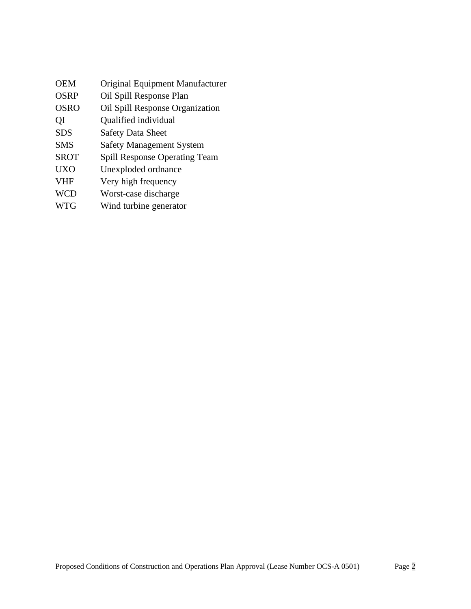| Original Equipment Manufacturer      |
|--------------------------------------|
| Oil Spill Response Plan              |
| Oil Spill Response Organization      |
| Qualified individual                 |
| <b>Safety Data Sheet</b>             |
| <b>Safety Management System</b>      |
| <b>Spill Response Operating Team</b> |
| Unexploded ordnance                  |
| Very high frequency                  |
| Worst-case discharge                 |
| Wind turbine generator               |
|                                      |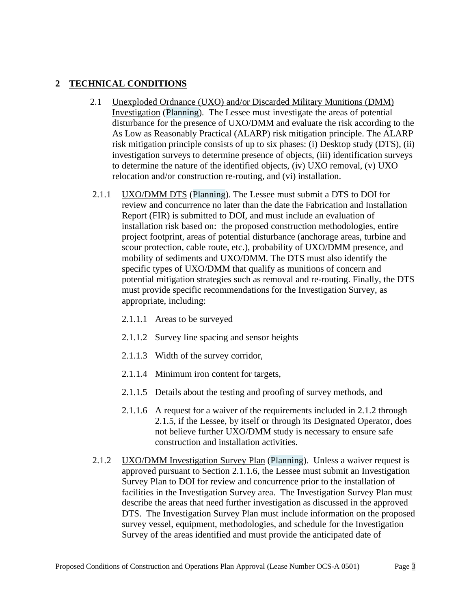## **2 TECHNICAL CONDITIONS**

- 2.1 Unexploded Ordnance (UXO) and/or Discarded Military Munitions (DMM) Investigation (Planning). The Lessee must investigate the areas of potential disturbance for the presence of UXO/DMM and evaluate the risk according to the As Low as Reasonably Practical (ALARP) risk mitigation principle. The ALARP risk mitigation principle consists of up to six phases: (i) Desktop study (DTS), (ii) investigation surveys to determine presence of objects, (iii) identification surveys to determine the nature of the identified objects, (iv) UXO removal, (v) UXO relocation and/or construction re-routing, and (vi) installation.
- 2.1.1 UXO/DMM DTS (Planning). The Lessee must submit a DTS to DOI for review and concurrence no later than the date the Fabrication and Installation Report (FIR) is submitted to DOI, and must include an evaluation of installation risk based on: the proposed construction methodologies, entire project footprint, areas of potential disturbance (anchorage areas, turbine and scour protection, cable route, etc.), probability of UXO/DMM presence, and mobility of sediments and UXO/DMM. The DTS must also identify the specific types of UXO/DMM that qualify as munitions of concern and potential mitigation strategies such as removal and re-routing. Finally, the DTS must provide specific recommendations for the Investigation Survey, as appropriate, including:
	- 2.1.1.1 Areas to be surveyed
	- 2.1.1.2 Survey line spacing and sensor heights
	- 2.1.1.3 Width of the survey corridor,
	- 2.1.1.4 Minimum iron content for targets,
	- 2.1.1.5 Details about the testing and proofing of survey methods, and
	- 2.1.1.6 A request for a waiver of the requirements included in 2.1.2 through 2.1.5, if the Lessee, by itself or through its Designated Operator, does not believe further UXO/DMM study is necessary to ensure safe construction and installation activities.
- <span id="page-2-0"></span>2.1.2 UXO/DMM Investigation Survey Plan (Planning). Unless a waiver request is approved pursuant to Section [2.1.1.6,](#page-2-0) the Lessee must submit an Investigation Survey Plan to DOI for review and concurrence prior to the installation of facilities in the Investigation Survey area. The Investigation Survey Plan must describe the areas that need further investigation as discussed in the approved DTS. The Investigation Survey Plan must include information on the proposed survey vessel, equipment, methodologies, and schedule for the Investigation Survey of the areas identified and must provide the anticipated date of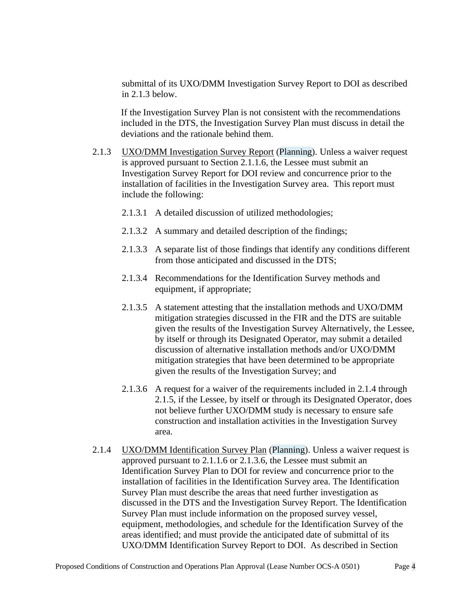submittal of its UXO/DMM Investigation Survey Report to DOI as described in 2.1.3 below.

If the Investigation Survey Plan is not consistent with the recommendations included in the DTS, the Investigation Survey Plan must discuss in detail the deviations and the rationale behind them.

- 2.1.3 UXO/DMM Investigation Survey Report (Planning). Unless a waiver request is approved pursuant to Section [2.1.1.6,](#page-2-0) the Lessee must submit an Investigation Survey Report for DOI review and concurrence prior to the installation of facilities in the Investigation Survey area. This report must include the following:
	- 2.1.3.1 A detailed discussion of utilized methodologies;
	- 2.1.3.2 A summary and detailed description of the findings;
	- 2.1.3.3 A separate list of those findings that identify any conditions different from those anticipated and discussed in the DTS;
	- 2.1.3.4 Recommendations for the Identification Survey methods and equipment, if appropriate;
	- 2.1.3.5 A statement attesting that the installation methods and UXO/DMM mitigation strategies discussed in the FIR and the DTS are suitable given the results of the Investigation Survey Alternatively, the Lessee, by itself or through its Designated Operator, may submit a detailed discussion of alternative installation methods and/or UXO/DMM mitigation strategies that have been determined to be appropriate given the results of the Investigation Survey; and
	- 2.1.3.6 A request for a waiver of the requirements included in 2.1.4 through 2.1.5, if the Lessee, by itself or through its Designated Operator, does not believe further UXO/DMM study is necessary to ensure safe construction and installation activities in the Investigation Survey area.
- 2.1.4 UXO/DMM Identification Survey Plan (Planning). Unless a waiver request is approved pursuant to 2.1.1.6 or 2.1.3.6, the Lessee must submit an Identification Survey Plan to DOI for review and concurrence prior to the installation of facilities in the Identification Survey area. The Identification Survey Plan must describe the areas that need further investigation as discussed in the DTS and the Investigation Survey Report. The Identification Survey Plan must include information on the proposed survey vessel, equipment, methodologies, and schedule for the Identification Survey of the areas identified; and must provide the anticipated date of submittal of its UXO/DMM Identification Survey Report to DOI. As described in Section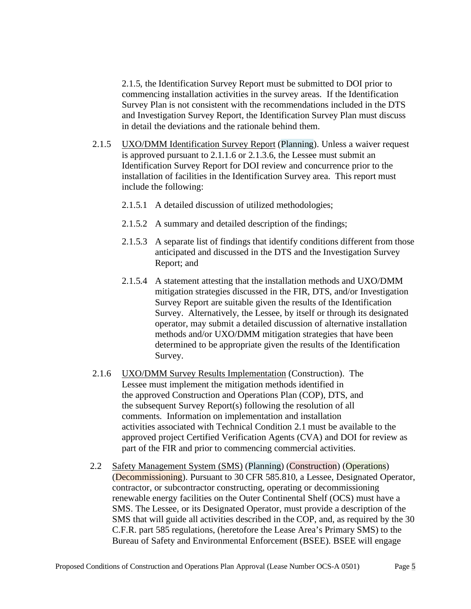2.1.5, the Identification Survey Report must be submitted to DOI prior to commencing installation activities in the survey areas. If the Identification Survey Plan is not consistent with the recommendations included in the DTS and Investigation Survey Report, the Identification Survey Plan must discuss in detail the deviations and the rationale behind them.

- 2.1.5 UXO/DMM Identification Survey Report (Planning). Unless a waiver request is approved pursuant to 2.1.1.6 or 2.1.3.6, the Lessee must submit an Identification Survey Report for DOI review and concurrence prior to the installation of facilities in the Identification Survey area. This report must include the following:
	- 2.1.5.1 A detailed discussion of utilized methodologies;
	- 2.1.5.2 A summary and detailed description of the findings;
	- 2.1.5.3 A separate list of findings that identify conditions different from those anticipated and discussed in the DTS and the Investigation Survey Report; and
	- 2.1.5.4 A statement attesting that the installation methods and UXO/DMM mitigation strategies discussed in the FIR, DTS, and/or Investigation Survey Report are suitable given the results of the Identification Survey. Alternatively, the Lessee, by itself or through its designated operator, may submit a detailed discussion of alternative installation methods and/or UXO/DMM mitigation strategies that have been determined to be appropriate given the results of the Identification Survey.
- 2.1.6 UXO/DMM Survey Results Implementation (Construction). The Lessee must implement the mitigation methods identified in the approved Construction and Operations Plan (COP), DTS, and the subsequent Survey Report(s) following the resolution of all comments. Information on implementation and installation activities associated with Technical Condition 2.1 must be available to the approved project Certified Verification Agents (CVA) and DOI for review as part of the FIR and prior to commencing commercial activities.
- 2.2 Safety Management System (SMS) (Planning) (Construction) (Operations) (Decommissioning). Pursuant to 30 CFR 585.810, a Lessee, Designated Operator, contractor, or subcontractor constructing, operating or decommissioning renewable energy facilities on the Outer Continental Shelf (OCS) must have a SMS. The Lessee, or its Designated Operator, must provide a description of the SMS that will guide all activities described in the COP, and, as required by the 30 C.F.R. part 585 regulations, (heretofore the Lease Area's Primary SMS) to the Bureau of Safety and Environmental Enforcement (BSEE). BSEE will engage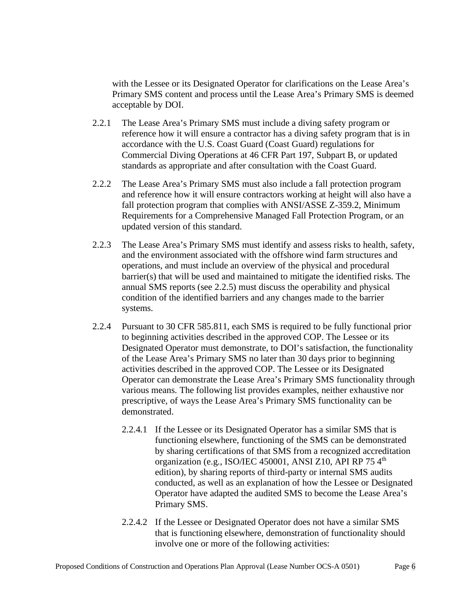with the Lessee or its Designated Operator for clarifications on the Lease Area's Primary SMS content and process until the Lease Area's Primary SMS is deemed acceptable by DOI.

- 2.2.1 The Lease Area's Primary SMS must include a diving safety program or reference how it will ensure a contractor has a diving safety program that is in accordance with the U.S. Coast Guard (Coast Guard) regulations for Commercial Diving Operations at 46 CFR Part 197, Subpart B, or updated standards as appropriate and after consultation with the Coast Guard.
- 2.2.2 The Lease Area's Primary SMS must also include a fall protection program and reference how it will ensure contractors working at height will also have a fall protection program that complies with ANSI/ASSE Z-359.2, Minimum Requirements for a Comprehensive Managed Fall Protection Program, or an updated version of this standard.
- 2.2.3 The Lease Area's Primary SMS must identify and assess risks to health, safety, and the environment associated with the offshore wind farm structures and operations, and must include an overview of the physical and procedural barrier(s) that will be used and maintained to mitigate the identified risks. The annual SMS reports (see 2.2.5) must discuss the operability and physical condition of the identified barriers and any changes made to the barrier systems.
- 2.2.4 Pursuant to 30 CFR 585.811, each SMS is required to be fully functional prior to beginning activities described in the approved COP. The Lessee or its Designated Operator must demonstrate, to DOI's satisfaction, the functionality of the Lease Area's Primary SMS no later than 30 days prior to beginning activities described in the approved COP. The Lessee or its Designated Operator can demonstrate the Lease Area's Primary SMS functionality through various means. The following list provides examples, neither exhaustive nor prescriptive, of ways the Lease Area's Primary SMS functionality can be demonstrated.
	- 2.2.4.1 If the Lessee or its Designated Operator has a similar SMS that is functioning elsewhere, functioning of the SMS can be demonstrated by sharing certifications of that SMS from a recognized accreditation organization (e.g., ISO/IEC 450001, ANSI Z10, API RP 75 4<sup>th</sup> edition), by sharing reports of third-party or internal SMS audits conducted, as well as an explanation of how the Lessee or Designated Operator have adapted the audited SMS to become the Lease Area's Primary SMS.
	- 2.2.4.2 If the Lessee or Designated Operator does not have a similar SMS that is functioning elsewhere, demonstration of functionality should involve one or more of the following activities: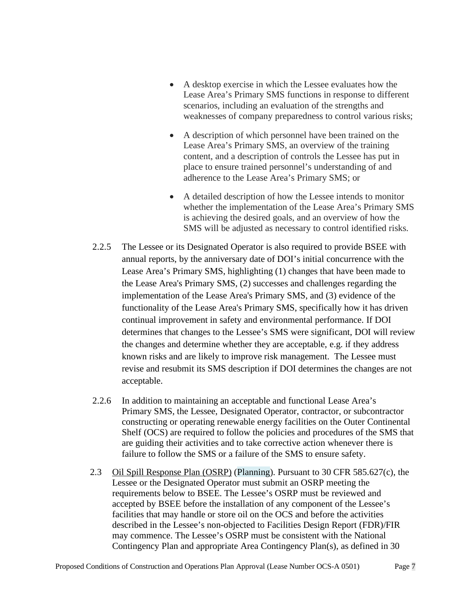- A desktop exercise in which the Lessee evaluates how the Lease Area's Primary SMS functions in response to different scenarios, including an evaluation of the strengths and weaknesses of company preparedness to control various risks;
- A description of which personnel have been trained on the Lease Area's Primary SMS, an overview of the training content, and a description of controls the Lessee has put in place to ensure trained personnel's understanding of and adherence to the Lease Area's Primary SMS; or
- A detailed description of how the Lessee intends to monitor whether the implementation of the Lease Area's Primary SMS is achieving the desired goals, and an overview of how the SMS will be adjusted as necessary to control identified risks.
- 2.2.5 The Lessee or its Designated Operator is also required to provide BSEE with annual reports, by the anniversary date of DOI's initial concurrence with the Lease Area's Primary SMS, highlighting (1) changes that have been made to the Lease Area's Primary SMS, (2) successes and challenges regarding the implementation of the Lease Area's Primary SMS, and (3) evidence of the functionality of the Lease Area's Primary SMS, specifically how it has driven continual improvement in safety and environmental performance. If DOI determines that changes to the Lessee's SMS were significant, DOI will review the changes and determine whether they are acceptable, e.g. if they address known risks and are likely to improve risk management. The Lessee must revise and resubmit its SMS description if DOI determines the changes are not acceptable.
- 2.2.6 In addition to maintaining an acceptable and functional Lease Area's Primary SMS, the Lessee, Designated Operator, contractor, or subcontractor constructing or operating renewable energy facilities on the Outer Continental Shelf (OCS) are required to follow the policies and procedures of the SMS that are guiding their activities and to take corrective action whenever there is failure to follow the SMS or a failure of the SMS to ensure safety.
- 2.3 Oil Spill Response Plan (OSRP) (Planning). Pursuant to 30 CFR 585.627(c), the Lessee or the Designated Operator must submit an OSRP meeting the requirements below to BSEE. The Lessee's OSRP must be reviewed and accepted by BSEE before the installation of any component of the Lessee's facilities that may handle or store oil on the OCS and before the activities described in the Lessee's non-objected to Facilities Design Report (FDR)/FIR may commence. The Lessee's OSRP must be consistent with the National Contingency Plan and appropriate Area Contingency Plan(s), as defined in 30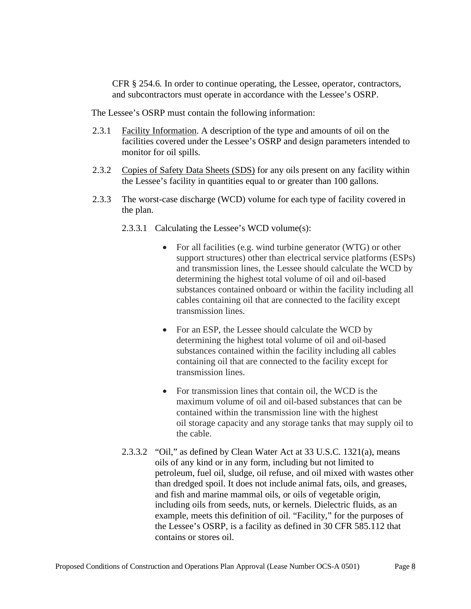CFR § 254.6. In order to continue operating, the Lessee, operator, contractors, and subcontractors must operate in accordance with the Lessee's OSRP.

The Lessee's OSRP must contain the following information:

- 2.3.1 Facility Information. A description of the type and amounts of oil on the facilities covered under the Lessee's OSRP and design parameters intended to monitor for oil spills.
- 2.3.2 Copies of Safety Data Sheets (SDS) for any oils present on any facility within the Lessee's facility in quantities equal to or greater than 100 gallons.
- 2.3.3 The worst-case discharge (WCD) volume for each type of facility covered in the plan.
	- 2.3.3.1 Calculating the Lessee's WCD volume(s):
		- For all facilities (e.g. wind turbine generator (WTG) or other support structures) other than electrical service platforms (ESPs) and transmission lines, the Lessee should calculate the WCD by determining the highest total volume of oil and oil-based substances contained onboard or within the facility including all cables containing oil that are connected to the facility except transmission lines.
		- For an ESP, the Lessee should calculate the WCD by determining the highest total volume of oil and oil-based substances contained within the facility including all cables containing oil that are connected to the facility except for transmission lines.
		- For transmission lines that contain oil, the WCD is the maximum volume of oil and oil-based substances that can be contained within the transmission line with the highest oil storage capacity and any storage tanks that may supply oil to the cable.
	- 2.3.3.2 "Oil," as defined by Clean Water Act at 33 U.S.C. 1321(a), means oils of any kind or in any form, including but not limited to petroleum, fuel oil, sludge, oil refuse, and oil mixed with wastes other than dredged spoil. It does not include animal fats, oils, and greases, and fish and marine mammal oils, or oils of vegetable origin, including oils from seeds, nuts, or kernels. Dielectric fluids, as an example, meets this definition of oil. "Facility," for the purposes of the Lessee's OSRP, is a facility as defined in 30 CFR 585.112 that contains or stores oil.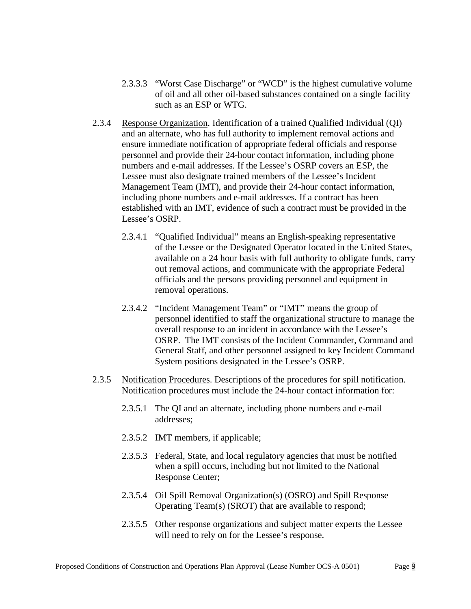- 2.3.3.3 "Worst Case Discharge" or "WCD" is the highest cumulative volume of oil and all other oil-based substances contained on a single facility such as an ESP or WTG.
- 2.3.4 Response Organization. Identification of a trained Qualified Individual (QI) and an alternate, who has full authority to implement removal actions and ensure immediate notification of appropriate federal officials and response personnel and provide their 24-hour contact information, including phone numbers and e-mail addresses. If the Lessee's OSRP covers an ESP, the Lessee must also designate trained members of the Lessee's Incident Management Team (IMT), and provide their 24-hour contact information, including phone numbers and e-mail addresses. If a contract has been established with an IMT, evidence of such a contract must be provided in the Lessee's OSRP.
	- 2.3.4.1 "Qualified Individual" means an English-speaking representative of the Lessee or the Designated Operator located in the United States, available on a 24 hour basis with full authority to obligate funds, carry out removal actions, and communicate with the appropriate Federal officials and the persons providing personnel and equipment in removal operations.
	- 2.3.4.2 "Incident Management Team" or "IMT" means the group of personnel identified to staff the organizational structure to manage the overall response to an incident in accordance with the Lessee's OSRP. The IMT consists of the Incident Commander, Command and General Staff, and other personnel assigned to key Incident Command System positions designated in the Lessee's OSRP.
- 2.3.5 Notification Procedures. Descriptions of the procedures for spill notification. Notification procedures must include the 24-hour contact information for:
	- 2.3.5.1 The QI and an alternate, including phone numbers and e-mail addresses;
	- 2.3.5.2 IMT members, if applicable;
	- 2.3.5.3 Federal, State, and local regulatory agencies that must be notified when a spill occurs, including but not limited to the National Response Center;
	- 2.3.5.4 Oil Spill Removal Organization(s) (OSRO) and Spill Response Operating Team(s) (SROT) that are available to respond;
	- 2.3.5.5 Other response organizations and subject matter experts the Lessee will need to rely on for the Lessee's response.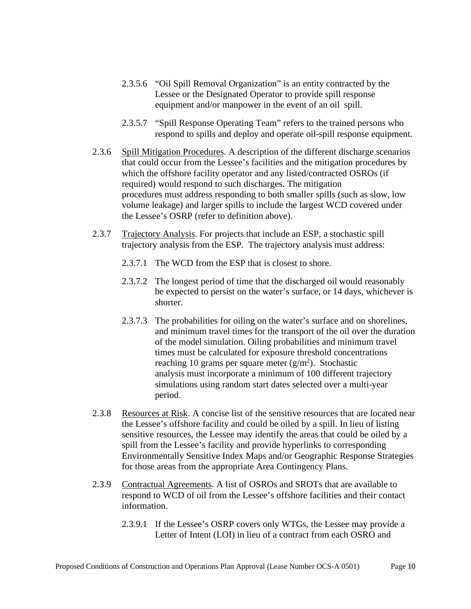- 2.3.5.6 "Oil Spill Removal Organization" is an entity contracted by the Lessee or the Designated Operator to provide spill response equipment and/or manpower in the event of an oil spill.
- 2.3.5.7 "Spill Response Operating Team" refers to the trained persons who respond to spills and deploy and operate oil-spill response equipment.
- 2.3.6 Spill Mitigation Procedures. A description of the different discharge scenarios that could occur from the Lessee's facilities and the mitigation procedures by which the offshore facility operator and any listed/contracted OSROs (if required) would respond to such discharges. The mitigation procedures must address responding to both smaller spills (such as slow, low volume leakage) and larger spills to include the largest WCD covered under the Lessee's OSRP (refer to definition above).
- 2.3.7 Trajectory Analysis. For projects that include an ESP, a stochastic spill trajectory analysis from the ESP. The trajectory analysis must address:
	- 2.3.7.1 The WCD from the ESP that is closest to shore.
	- 2.3.7.2 The longest period of time that the discharged oil would reasonably be expected to persist on the water's surface, or 14 days, whichever is shorter.
	- 2.3.7.3 The probabilities for oiling on the water's surface and on shorelines, and minimum travel times for the transport of the oil over the duration of the model simulation. Oiling probabilities and minimum travel times must be calculated for exposure threshold concentrations reaching 10 grams per square meter  $(g/m<sup>2</sup>)$ . Stochastic analysis must incorporate a minimum of 100 different trajectory simulations using random start dates selected over a multi-year period.
- 2.3.8 Resources at Risk. A concise list of the sensitive resources that are located near the Lessee's offshore facility and could be oiled by a spill. In lieu of listing sensitive resources, the Lessee may identify the areas that could be oiled by a spill from the Lessee's facility and provide hyperlinks to corresponding Environmentally Sensitive Index Maps and/or Geographic Response Strategies for those areas from the appropriate Area Contingency Plans.
- 2.3.9 Contractual Agreements. A list of OSROs and SROTs that are available to respond to WCD of oil from the Lessee's offshore facilities and their contact information.
	- 2.3.9.1 If the Lessee's OSRP covers only WTGs, the Lessee may provide a Letter of Intent (LOI) in lieu of a contract from each OSRO and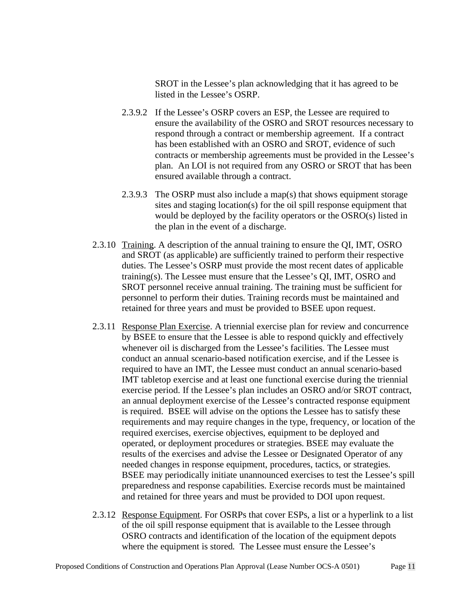SROT in the Lessee's plan acknowledging that it has agreed to be listed in the Lessee's OSRP.

- 2.3.9.2 If the Lessee's OSRP covers an ESP, the Lessee are required to ensure the availability of the OSRO and SROT resources necessary to respond through a contract or membership agreement. If a contract has been established with an OSRO and SROT, evidence of such contracts or membership agreements must be provided in the Lessee's plan. An LOI is not required from any OSRO or SROT that has been ensured available through a contract.
- 2.3.9.3 The OSRP must also include a map(s) that shows equipment storage sites and staging location(s) for the oil spill response equipment that would be deployed by the facility operators or the OSRO(s) listed in the plan in the event of a discharge.
- 2.3.10 Training. A description of the annual training to ensure the QI, IMT, OSRO and SROT (as applicable) are sufficiently trained to perform their respective duties. The Lessee's OSRP must provide the most recent dates of applicable training(s). The Lessee must ensure that the Lessee's QI, IMT, OSRO and SROT personnel receive annual training. The training must be sufficient for personnel to perform their duties. Training records must be maintained and retained for three years and must be provided to BSEE upon request.
- 2.3.11 Response Plan Exercise. A triennial exercise plan for review and concurrence by BSEE to ensure that the Lessee is able to respond quickly and effectively whenever oil is discharged from the Lessee's facilities. The Lessee must conduct an annual scenario-based notification exercise, and if the Lessee is required to have an IMT, the Lessee must conduct an annual scenario-based IMT tabletop exercise and at least one functional exercise during the triennial exercise period. If the Lessee's plan includes an OSRO and/or SROT contract, an annual deployment exercise of the Lessee's contracted response equipment is required. BSEE will advise on the options the Lessee has to satisfy these requirements and may require changes in the type, frequency, or location of the required exercises, exercise objectives, equipment to be deployed and operated, or deployment procedures or strategies. BSEE may evaluate the results of the exercises and advise the Lessee or Designated Operator of any needed changes in response equipment, procedures, tactics, or strategies. BSEE may periodically initiate unannounced exercises to test the Lessee's spill preparedness and response capabilities. Exercise records must be maintained and retained for three years and must be provided to DOI upon request.
- 2.3.12 Response Equipment. For OSRPs that cover ESPs, a list or a hyperlink to a list of the oil spill response equipment that is available to the Lessee through OSRO contracts and identification of the location of the equipment depots where the equipment is stored. The Lessee must ensure the Lessee's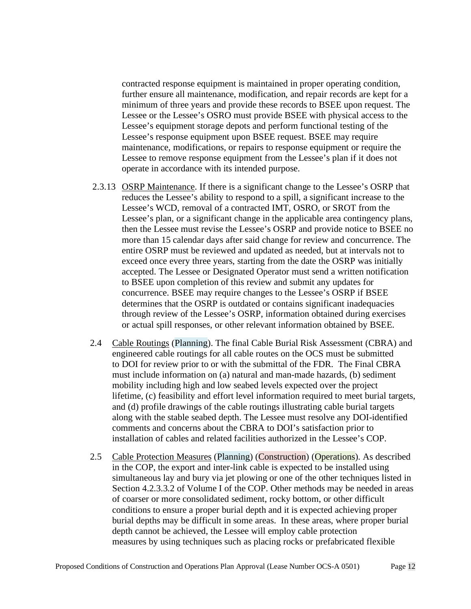contracted response equipment is maintained in proper operating condition, further ensure all maintenance, modification, and repair records are kept for a minimum of three years and provide these records to BSEE upon request. The Lessee or the Lessee's OSRO must provide BSEE with physical access to the Lessee's equipment storage depots and perform functional testing of the Lessee's response equipment upon BSEE request. BSEE may require maintenance, modifications, or repairs to response equipment or require the Lessee to remove response equipment from the Lessee's plan if it does not operate in accordance with its intended purpose.

- 2.3.13 OSRP Maintenance. If there is a significant change to the Lessee's OSRP that reduces the Lessee's ability to respond to a spill, a significant increase to the Lessee's WCD, removal of a contracted IMT, OSRO, or SROT from the Lessee's plan, or a significant change in the applicable area contingency plans, then the Lessee must revise the Lessee's OSRP and provide notice to BSEE no more than 15 calendar days after said change for review and concurrence. The entire OSRP must be reviewed and updated as needed, but at intervals not to exceed once every three years, starting from the date the OSRP was initially accepted. The Lessee or Designated Operator must send a written notification to BSEE upon completion of this review and submit any updates for concurrence. BSEE may require changes to the Lessee's OSRP if BSEE determines that the OSRP is outdated or contains significant inadequacies through review of the Lessee's OSRP, information obtained during exercises or actual spill responses, or other relevant information obtained by BSEE.
- 2.4 Cable Routings (Planning). The final Cable Burial Risk Assessment (CBRA) and engineered cable routings for all cable routes on the OCS must be submitted to DOI for review prior to or with the submittal of the FDR. The Final CBRA must include information on (a) natural and man-made hazards, (b) sediment mobility including high and low seabed levels expected over the project lifetime, (c) feasibility and effort level information required to meet burial targets, and (d) profile drawings of the cable routings illustrating cable burial targets along with the stable seabed depth. The Lessee must resolve any DOI-identified comments and concerns about the CBRA to DOI's satisfaction prior to installation of cables and related facilities authorized in the Lessee's COP.
- 2.5 Cable Protection Measures (Planning) (Construction) (Operations). As described in the COP, the export and inter-link cable is expected to be installed using simultaneous lay and bury via jet plowing or one of the other techniques listed in Section 4.2.3.3.2 of Volume I of the COP. Other methods may be needed in areas of coarser or more consolidated sediment, rocky bottom, or other difficult conditions to ensure a proper burial depth and it is expected achieving proper burial depths may be difficult in some areas. In these areas, where proper burial depth cannot be achieved, the Lessee will employ cable protection measures by using techniques such as placing rocks or prefabricated flexible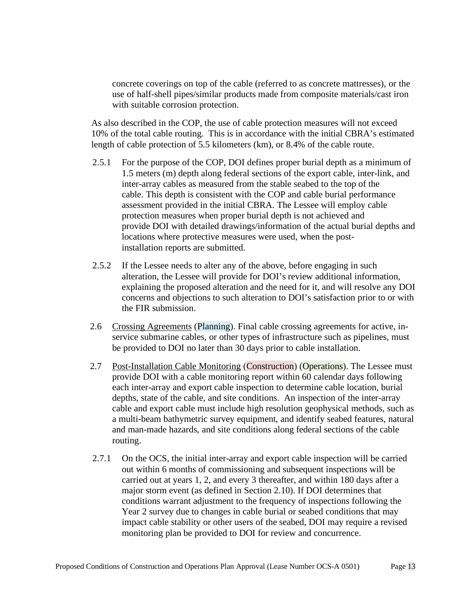concrete coverings on top of the cable (referred to as concrete mattresses), or the use of half-shell pipes/similar products made from composite materials/cast iron with suitable corrosion protection.

As also described in the COP, the use of cable protection measures will not exceed 10% of the total cable routing. This is in accordance with the initial CBRA's estimated length of cable protection of 5.5 kilometers (km), or 8.4% of the cable route.

- 2.5.1 For the purpose of the COP, DOI defines proper burial depth as a minimum of 1.5 meters (m) depth along federal sections of the export cable, inter-link, and inter-array cables as measured from the stable seabed to the top of the cable. This depth is consistent with the COP and cable burial performance assessment provided in the initial CBRA. The Lessee will employ cable protection measures when proper burial depth is not achieved and provide DOI with detailed drawings/information of the actual burial depths and locations where protective measures were used, when the postinstallation reports are submitted.
- 2.5.2 If the Lessee needs to alter any of the above, before engaging in such alteration, the Lessee will provide for DOI's review additional information, explaining the proposed alteration and the need for it, and will resolve any DOI concerns and objections to such alteration to DOI's satisfaction prior to or with the FIR submission.
- 2.6 Crossing Agreements (Planning). Final cable crossing agreements for active, inservice submarine cables, or other types of infrastructure such as pipelines, must be provided to DOI no later than 30 days prior to cable installation.
- 2.7 Post-Installation Cable Monitoring (Construction) (Operations). The Lessee must provide DOI with a cable monitoring report within 60 calendar days following each inter-array and export cable inspection to determine cable location, burial depths, state of the cable, and site conditions. An inspection of the inter-array cable and export cable must include high resolution geophysical methods, such as a multi-beam bathymetric survey equipment, and identify seabed features, natural and man-made hazards, and site conditions along federal sections of the cable routing.
- 2.7.1 On the OCS, the initial inter-array and export cable inspection will be carried out within 6 months of commissioning and subsequent inspections will be carried out at years 1, 2, and every 3 thereafter, and within 180 days after a major storm event (as defined in Section 2.10). If DOI determines that conditions warrant adjustment to the frequency of inspections following the Year 2 survey due to changes in cable burial or seabed conditions that may impact cable stability or other users of the seabed, DOI may require a revised monitoring plan be provided to DOI for review and concurrence.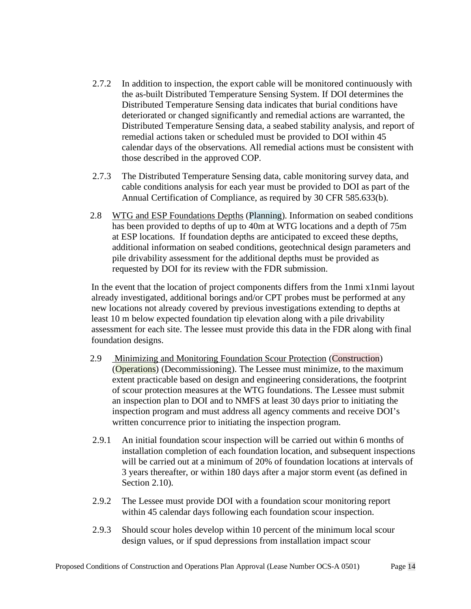- 2.7.2 In addition to inspection, the export cable will be monitored continuously with the as-built Distributed Temperature Sensing System. If DOI determines the Distributed Temperature Sensing data indicates that burial conditions have deteriorated or changed significantly and remedial actions are warranted, the Distributed Temperature Sensing data, a seabed stability analysis, and report of remedial actions taken or scheduled must be provided to DOI within 45 calendar days of the observations. All remedial actions must be consistent with those described in the approved COP.
- 2.7.3 The Distributed Temperature Sensing data, cable monitoring survey data, and cable conditions analysis for each year must be provided to DOI as part of the Annual Certification of Compliance, as required by 30 CFR 585.633(b).
- 2.8 WTG and ESP Foundations Depths (Planning). Information on seabed conditions has been provided to depths of up to 40m at WTG locations and a depth of 75m at ESP locations. If foundation depths are anticipated to exceed these depths, additional information on seabed conditions, geotechnical design parameters and pile drivability assessment for the additional depths must be provided as requested by DOI for its review with the FDR submission.

In the event that the location of project components differs from the 1nmi x1nmi layout already investigated, additional borings and/or CPT probes must be performed at any new locations not already covered by previous investigations extending to depths at least 10 m below expected foundation tip elevation along with a pile drivability assessment for each site. The lessee must provide this data in the FDR along with final foundation designs.

- 2.9 Minimizing and Monitoring Foundation Scour Protection (Construction) (Operations) (Decommissioning). The Lessee must minimize, to the maximum extent practicable based on design and engineering considerations, the footprint of scour protection measures at the WTG foundations. The Lessee must submit an inspection plan to DOI and to NMFS at least 30 days prior to initiating the inspection program and must address all agency comments and receive DOI's written concurrence prior to initiating the inspection program.
- 2.9.1 An initial foundation scour inspection will be carried out within 6 months of installation completion of each foundation location, and subsequent inspections will be carried out at a minimum of 20% of foundation locations at intervals of 3 years thereafter, or within 180 days after a major storm event (as defined in Section 2.10).
- 2.9.2 The Lessee must provide DOI with a foundation scour monitoring report within 45 calendar days following each foundation scour inspection.
- 2.9.3 Should scour holes develop within 10 percent of the minimum local scour design values, or if spud depressions from installation impact scour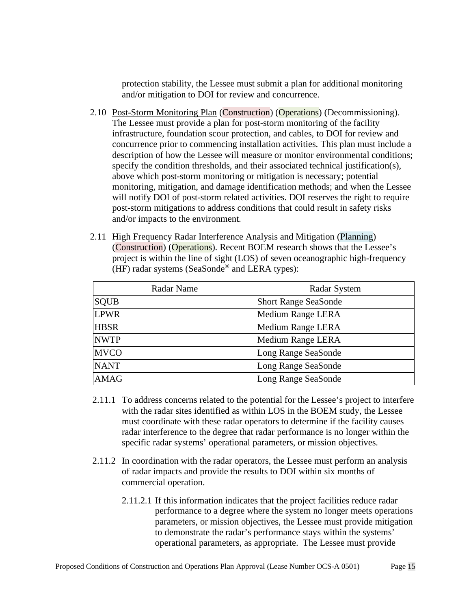protection stability, the Lessee must submit a plan for additional monitoring and/or mitigation to DOI for review and concurrence.

- 2.10 Post-Storm Monitoring Plan (Construction) (Operations) (Decommissioning). The Lessee must provide a plan for post-storm monitoring of the facility infrastructure, foundation scour protection, and cables, to DOI for review and concurrence prior to commencing installation activities. This plan must include a description of how the Lessee will measure or monitor environmental conditions; specify the condition thresholds, and their associated technical justification(s), above which post-storm monitoring or mitigation is necessary; potential monitoring, mitigation, and damage identification methods; and when the Lessee will notify DOI of post-storm related activities. DOI reserves the right to require post-storm mitigations to address conditions that could result in safety risks and/or impacts to the environment.
- 2.11 High Frequency Radar Interference Analysis and Mitigation (Planning) (Construction) (Operations). Recent BOEM research shows that the Lessee's project is within the line of sight (LOS) of seven oceanographic high-frequency (HF) radar systems (SeaSonde® and LERA types):

| Radar Name  | Radar System                |  |
|-------------|-----------------------------|--|
| <b>SQUB</b> | <b>Short Range SeaSonde</b> |  |
| <b>LPWR</b> | Medium Range LERA           |  |
| <b>HBSR</b> | <b>Medium Range LERA</b>    |  |
| <b>NWTP</b> | Medium Range LERA           |  |
| <b>MVCO</b> | Long Range SeaSonde         |  |
| <b>NANT</b> | Long Range SeaSonde         |  |
| <b>AMAG</b> | Long Range SeaSonde         |  |

- 2.11.1 To address concerns related to the potential for the Lessee's project to interfere with the radar sites identified as within LOS in the BOEM study, the Lessee must coordinate with these radar operators to determine if the facility causes radar interference to the degree that radar performance is no longer within the specific radar systems' operational parameters, or mission objectives.
- 2.11.2 In coordination with the radar operators, the Lessee must perform an analysis of radar impacts and provide the results to DOI within six months of commercial operation.
	- 2.11.2.1 If this information indicates that the project facilities reduce radar performance to a degree where the system no longer meets operations parameters, or mission objectives, the Lessee must provide mitigation to demonstrate the radar's performance stays within the systems' operational parameters, as appropriate. The Lessee must provide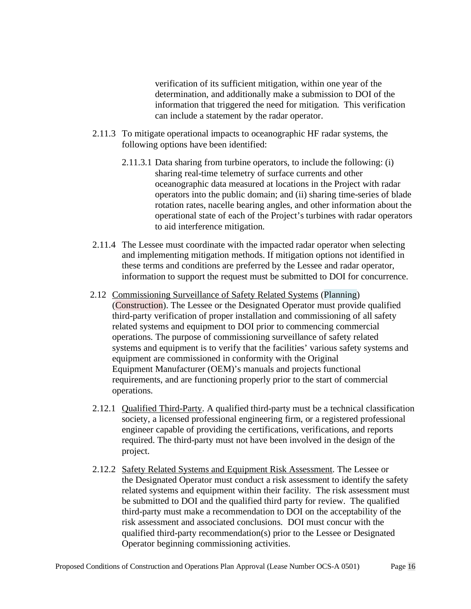verification of its sufficient mitigation, within one year of the determination, and additionally make a submission to DOI of the information that triggered the need for mitigation. This verification can include a statement by the radar operator.

- 2.11.3 To mitigate operational impacts to oceanographic HF radar systems, the following options have been identified:
	- 2.11.3.1 Data sharing from turbine operators, to include the following: (i) sharing real-time telemetry of surface currents and other oceanographic data measured at locations in the Project with radar operators into the public domain; and (ii) sharing time-series of blade rotation rates, nacelle bearing angles, and other information about the operational state of each of the Project's turbines with radar operators to aid interference mitigation.
- 2.11.4 The Lessee must coordinate with the impacted radar operator when selecting and implementing mitigation methods. If mitigation options not identified in these terms and conditions are preferred by the Lessee and radar operator, information to support the request must be submitted to DOI for concurrence.
- 2.12 Commissioning Surveillance of Safety Related Systems (Planning) (Construction). The Lessee or the Designated Operator must provide qualified third-party verification of proper installation and commissioning of all safety related systems and equipment to DOI prior to commencing commercial operations. The purpose of commissioning surveillance of safety related systems and equipment is to verify that the facilities' various safety systems and equipment are commissioned in conformity with the Original Equipment Manufacturer (OEM)'s manuals and projects functional requirements, and are functioning properly prior to the start of commercial operations.
- 2.12.1 Qualified Third-Party. A qualified third-party must be a technical classification society, a licensed professional engineering firm, or a registered professional engineer capable of providing the certifications, verifications, and reports required. The third-party must not have been involved in the design of the project.
- 2.12.2 Safety Related Systems and Equipment Risk Assessment. The Lessee or the Designated Operator must conduct a risk assessment to identify the safety related systems and equipment within their facility. The risk assessment must be submitted to DOI and the qualified third party for review. The qualified third-party must make a recommendation to DOI on the acceptability of the risk assessment and associated conclusions. DOI must concur with the qualified third-party recommendation(s) prior to the Lessee or Designated Operator beginning commissioning activities.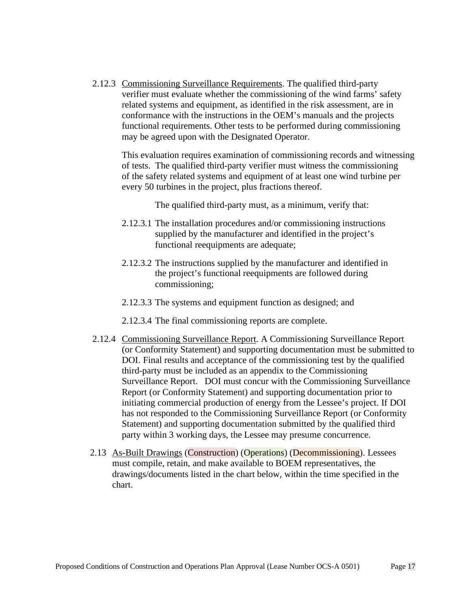2.12.3 Commissioning Surveillance Requirements. The qualified third-party verifier must evaluate whether the commissioning of the wind farms' safety related systems and equipment, as identified in the risk assessment, are in conformance with the instructions in the OEM's manuals and the projects functional requirements. Other tests to be performed during commissioning may be agreed upon with the Designated Operator.

This evaluation requires examination of commissioning records and witnessing of tests. The qualified third-party verifier must witness the commissioning of the safety related systems and equipment of at least one wind turbine per every 50 turbines in the project, plus fractions thereof.

The qualified third-party must, as a minimum, verify that:

- 2.12.3.1 The installation procedures and/or commissioning instructions supplied by the manufacturer and identified in the project's functional reequipments are adequate;
- 2.12.3.2 The instructions supplied by the manufacturer and identified in the project's functional reequipments are followed during commissioning;
- 2.12.3.3 The systems and equipment function as designed; and
- 2.12.3.4 The final commissioning reports are complete.
- 2.12.4 Commissioning Surveillance Report. A Commissioning Surveillance Report (or Conformity Statement) and supporting documentation must be submitted to DOI. Final results and acceptance of the commissioning test by the qualified third-party must be included as an appendix to the Commissioning Surveillance Report. DOI must concur with the Commissioning Surveillance Report (or Conformity Statement) and supporting documentation prior to initiating commercial production of energy from the Lessee's project. If DOI has not responded to the Commissioning Surveillance Report (or Conformity Statement) and supporting documentation submitted by the qualified third party within 3 working days, the Lessee may presume concurrence.
- 2.13 As-Built Drawings (Construction) (Operations) (Decommissioning). Lessees must compile, retain, and make available to BOEM representatives, the drawings/documents listed in the chart below, within the time specified in the chart.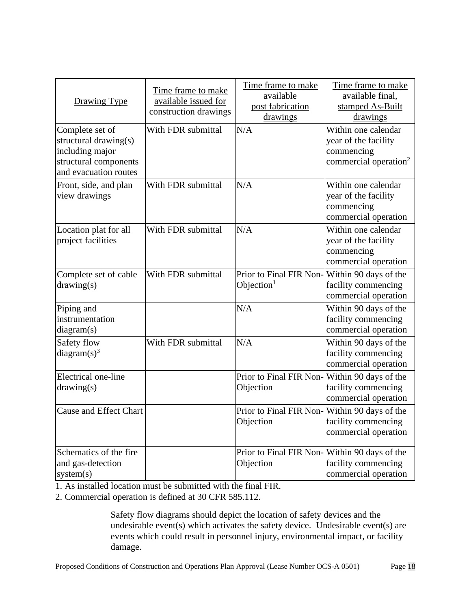| <b>Drawing Type</b>                                                                                           | Time frame to make<br>available issued for<br>construction drawings | Time frame to make<br>available<br>post fabrication<br>drawings | Time frame to make<br>available final,<br>stamped As-Built<br>drawings                         |
|---------------------------------------------------------------------------------------------------------------|---------------------------------------------------------------------|-----------------------------------------------------------------|------------------------------------------------------------------------------------------------|
| Complete set of<br>structural drawing(s)<br>including major<br>structural components<br>and evacuation routes | With FDR submittal                                                  | N/A                                                             | Within one calendar<br>year of the facility<br>commencing<br>commercial operation <sup>2</sup> |
| Front, side, and plan<br>view drawings                                                                        | With FDR submittal                                                  | N/A                                                             | Within one calendar<br>year of the facility<br>commencing<br>commercial operation              |
| Location plat for all<br>project facilities                                                                   | With FDR submittal                                                  | N/A                                                             | Within one calendar<br>year of the facility<br>commencing<br>commercial operation              |
| Complete set of cable<br>drawing(s)                                                                           | With FDR submittal                                                  | Prior to Final FIR Non-Within 90 days of the<br>Objection $1$   | facility commencing<br>commercial operation                                                    |
| Piping and<br>instrumentation<br>diagram(s)                                                                   |                                                                     | N/A                                                             | Within 90 days of the<br>facility commencing<br>commercial operation                           |
| Safety flow<br>diagram $(s)^3$                                                                                | With FDR submittal                                                  | N/A                                                             | Within 90 days of the<br>facility commencing<br>commercial operation                           |
| Electrical one-line<br>drawing(s)                                                                             |                                                                     | Prior to Final FIR Non-Within 90 days of the<br>Objection       | facility commencing<br>commercial operation                                                    |
| <b>Cause and Effect Chart</b>                                                                                 |                                                                     | Prior to Final FIR Non-<br>Objection                            | Within 90 days of the<br>facility commencing<br>commercial operation                           |
| Schematics of the fire<br>and gas-detection<br>system(s)                                                      |                                                                     | Prior to Final FIR Non-Within 90 days of the<br>Objection       | facility commencing<br>commercial operation                                                    |

1. As installed location must be submitted with the final FIR.

2. Commercial operation is defined at 30 CFR 585.112.

Safety flow diagrams should depict the location of safety devices and the undesirable event(s) which activates the safety device. Undesirable event(s) are events which could result in personnel injury, environmental impact, or facility damage.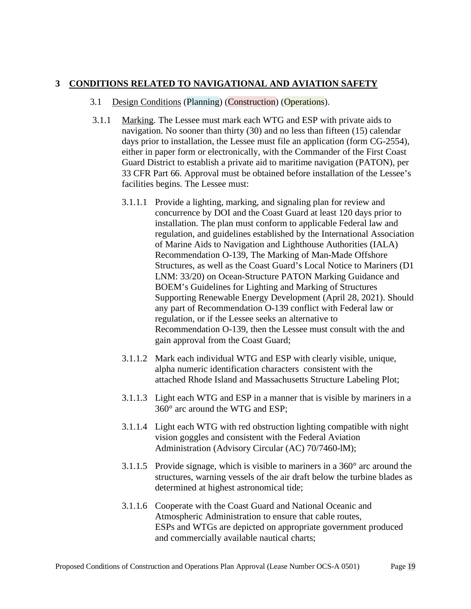### **3 CONDITIONS RELATED TO NAVIGATIONAL AND AVIATION SAFETY**

#### 3.1 Design Conditions (Planning) (Construction) (Operations).

- <span id="page-18-0"></span>3.1.1 Marking. The Lessee must mark each WTG and ESP with private aids to navigation. No sooner than thirty (30) and no less than fifteen (15) calendar days prior to installation, the Lessee must file an application (form CG-2554), either in paper form or electronically, with the Commander of the First Coast Guard District to establish a private aid to maritime navigation (PATON), per 33 CFR Part 66. Approval must be obtained before installation of the Lessee's facilities begins. The Lessee must:
	- 3.1.1.1 Provide a lighting, marking, and signaling plan for review and concurrence by DOI and the Coast Guard at least 120 days prior to installation. The plan must conform to applicable Federal law and regulation, and guidelines established by the International Association of Marine Aids to Navigation and Lighthouse Authorities (IALA) Recommendation O-139, The Marking of Man-Made Offshore Structures, as well as the Coast Guard's Local Notice to Mariners (D1 LNM: 33/20) on Ocean-Structure PATON Marking Guidance and BOEM's Guidelines for Lighting and Marking of Structures Supporting Renewable Energy Development (April 28, 2021). Should any part of Recommendation O-139 conflict with Federal law or regulation, or if the Lessee seeks an alternative to Recommendation O-139, then the Lessee must consult with the and gain approval from the Coast Guard;
	- 3.1.1.2 Mark each individual WTG and ESP with clearly visible, unique, alpha numeric identification characters consistent with the attached Rhode Island and Massachusetts Structure Labeling Plot;
	- 3.1.1.3 Light each WTG and ESP in a manner that is visible by mariners in a 360° arc around the WTG and ESP;
	- 3.1.1.4 Light each WTG with red obstruction lighting compatible with night vision goggles and consistent with the Federal Aviation Administration (Advisory Circular (AC) 70/7460-lM);
	- 3.1.1.5 Provide signage, which is visible to mariners in a 360° arc around the structures, warning vessels of the air draft below the turbine blades as determined at highest astronomical tide;
	- 3.1.1.6 Cooperate with the Coast Guard and National Oceanic and Atmospheric Administration to ensure that cable routes, ESPs and WTGs are depicted on appropriate government produced and commercially available nautical charts;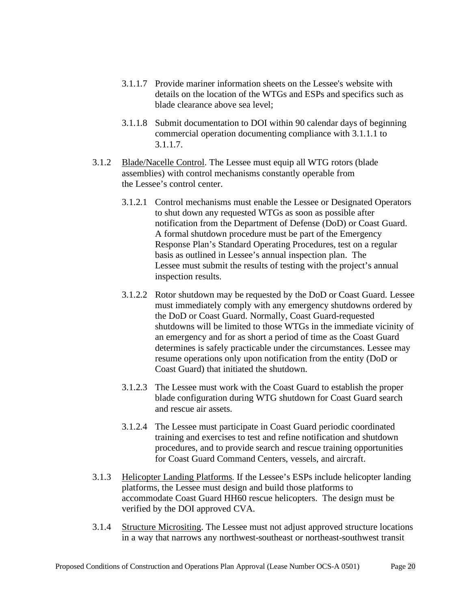- <span id="page-19-0"></span>3.1.1.7 Provide mariner information sheets on the Lessee's website with details on the location of the WTGs and ESPs and specifics such as blade clearance above sea level;
- 3.1.1.8 Submit documentation to DOI within 90 calendar days of beginning commercial operation documenting compliance with [3.1.1.1](#page-18-0) to [3.1.1.7.](#page-19-0)
- 3.1.2 Blade/Nacelle Control. The Lessee must equip all WTG rotors (blade assemblies) with control mechanisms constantly operable from the Lessee's control center.
	- 3.1.2.1 Control mechanisms must enable the Lessee or Designated Operators to shut down any requested WTGs as soon as possible after notification from the Department of Defense (DoD) or Coast Guard. A formal shutdown procedure must be part of the Emergency Response Plan's Standard Operating Procedures, test on a regular basis as outlined in Lessee's annual inspection plan. The Lessee must submit the results of testing with the project's annual inspection results.
	- 3.1.2.2 Rotor shutdown may be requested by the DoD or Coast Guard. Lessee must immediately comply with any emergency shutdowns ordered by the DoD or Coast Guard. Normally, Coast Guard-requested shutdowns will be limited to those WTGs in the immediate vicinity of an emergency and for as short a period of time as the Coast Guard determines is safely practicable under the circumstances. Lessee may resume operations only upon notification from the entity (DoD or Coast Guard) that initiated the shutdown.
	- 3.1.2.3 The Lessee must work with the Coast Guard to establish the proper blade configuration during WTG shutdown for Coast Guard search and rescue air assets.
	- 3.1.2.4 The Lessee must participate in Coast Guard periodic coordinated training and exercises to test and refine notification and shutdown procedures, and to provide search and rescue training opportunities for Coast Guard Command Centers, vessels, and aircraft.
- 3.1.3 Helicopter Landing Platforms. If the Lessee's ESPs include helicopter landing platforms, the Lessee must design and build those platforms to accommodate Coast Guard HH60 rescue helicopters. The design must be verified by the DOI approved CVA.
- 3.1.4 Structure Micrositing. The Lessee must not adjust approved structure locations in a way that narrows any northwest-southeast or northeast-southwest transit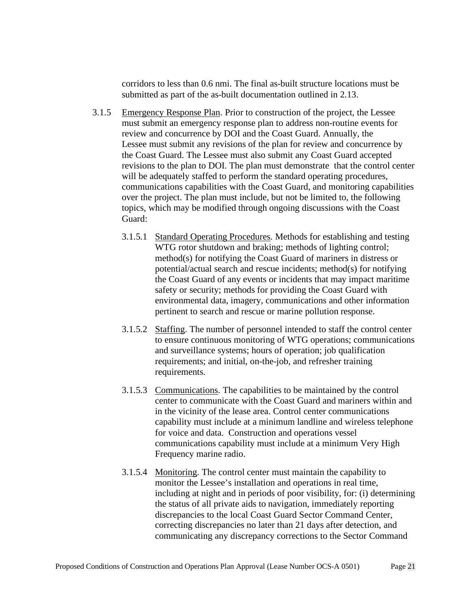corridors to less than 0.6 nmi. The final as-built structure locations must be submitted as part of the as-built documentation outlined in 2.13.

- 3.1.5 Emergency Response Plan. Prior to construction of the project, the Lessee must submit an emergency response plan to address non-routine events for review and concurrence by DOI and the Coast Guard. Annually, the Lessee must submit any revisions of the plan for review and concurrence by the Coast Guard. The Lessee must also submit any Coast Guard accepted revisions to the plan to DOI. The plan must demonstrate that the control center will be adequately staffed to perform the standard operating procedures, communications capabilities with the Coast Guard, and monitoring capabilities over the project. The plan must include, but not be limited to, the following topics, which may be modified through ongoing discussions with the Coast Guard:
	- 3.1.5.1 Standard Operating Procedures. Methods for establishing and testing WTG rotor shutdown and braking; methods of lighting control; method(s) for notifying the Coast Guard of mariners in distress or potential/actual search and rescue incidents; method(s) for notifying the Coast Guard of any events or incidents that may impact maritime safety or security; methods for providing the Coast Guard with environmental data, imagery, communications and other information pertinent to search and rescue or marine pollution response.
	- 3.1.5.2 Staffing. The number of personnel intended to staff the control center to ensure continuous monitoring of WTG operations; communications and surveillance systems; hours of operation; job qualification requirements; and initial, on-the-job, and refresher training requirements.
	- 3.1.5.3 Communications. The capabilities to be maintained by the control center to communicate with the Coast Guard and mariners within and in the vicinity of the lease area. Control center communications capability must include at a minimum landline and wireless telephone for voice and data. Construction and operations vessel communications capability must include at a minimum Very High Frequency marine radio.
	- 3.1.5.4 Monitoring. The control center must maintain the capability to monitor the Lessee's installation and operations in real time, including at night and in periods of poor visibility, for: (i) determining the status of all private aids to navigation, immediately reporting discrepancies to the local Coast Guard Sector Command Center, correcting discrepancies no later than 21 days after detection, and communicating any discrepancy corrections to the Sector Command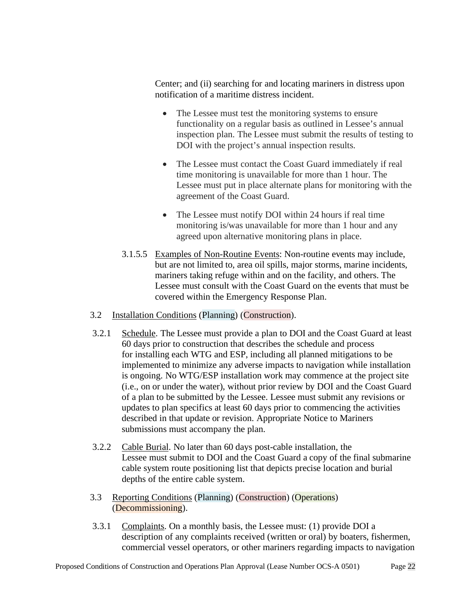Center; and (ii) searching for and locating mariners in distress upon notification of a maritime distress incident.

- The Lessee must test the monitoring systems to ensure functionality on a regular basis as outlined in Lessee's annual inspection plan. The Lessee must submit the results of testing to DOI with the project's annual inspection results.
- The Lessee must contact the Coast Guard immediately if real time monitoring is unavailable for more than 1 hour. The Lessee must put in place alternate plans for monitoring with the agreement of the Coast Guard.
- The Lessee must notify DOI within 24 hours if real time monitoring is/was unavailable for more than 1 hour and any agreed upon alternative monitoring plans in place.
- 3.1.5.5 Examples of Non-Routine Events: Non-routine events may include, but are not limited to, area oil spills, major storms, marine incidents, mariners taking refuge within and on the facility, and others. The Lessee must consult with the Coast Guard on the events that must be covered within the Emergency Response Plan.
- 3.2 Installation Conditions (Planning) (Construction).
- 3.2.1 Schedule. The Lessee must provide a plan to DOI and the Coast Guard at least 60 days prior to construction that describes the schedule and process for installing each WTG and ESP, including all planned mitigations to be implemented to minimize any adverse impacts to navigation while installation is ongoing. No WTG/ESP installation work may commence at the project site (i.e., on or under the water), without prior review by DOI and the Coast Guard of a plan to be submitted by the Lessee. Lessee must submit any revisions or updates to plan specifics at least 60 days prior to commencing the activities described in that update or revision. Appropriate Notice to Mariners submissions must accompany the plan.
- 3.2.2 Cable Burial. No later than 60 days post-cable installation, the Lessee must submit to DOI and the Coast Guard a copy of the final submarine cable system route positioning list that depicts precise location and burial depths of the entire cable system.
- 3.3 Reporting Conditions (Planning) (Construction) (Operations) (Decommissioning).
- 3.3.1 Complaints. On a monthly basis, the Lessee must: (1) provide DOI a description of any complaints received (written or oral) by boaters, fishermen, commercial vessel operators, or other mariners regarding impacts to navigation